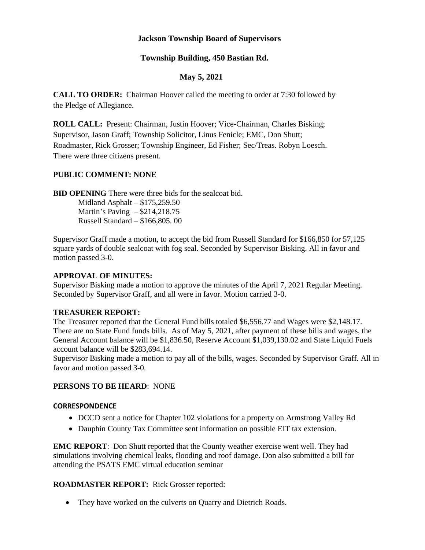# **Jackson Township Board of Supervisors**

# **Township Building, 450 Bastian Rd.**

# **May 5, 2021**

**CALL TO ORDER:** Chairman Hoover called the meeting to order at 7:30 followed by the Pledge of Allegiance.

**ROLL CALL:** Present: Chairman, Justin Hoover; Vice-Chairman, Charles Bisking; Supervisor, Jason Graff; Township Solicitor, Linus Fenicle; EMC, Don Shutt; Roadmaster, Rick Grosser; Township Engineer, Ed Fisher; Sec/Treas. Robyn Loesch. There were three citizens present.

### **PUBLIC COMMENT: NONE**

**BID OPENING** There were three bids for the sealcoat bid.

Midland Asphalt – \$175,259.50 Martin's Paving – \$214,218.75 Russell Standard – \$166,805. 00

Supervisor Graff made a motion, to accept the bid from Russell Standard for \$166,850 for 57,125 square yards of double sealcoat with fog seal. Seconded by Supervisor Bisking. All in favor and motion passed 3-0.

### **APPROVAL OF MINUTES:**

Supervisor Bisking made a motion to approve the minutes of the April 7, 2021 Regular Meeting. Seconded by Supervisor Graff, and all were in favor. Motion carried 3-0.

### **TREASURER REPORT:**

The Treasurer reported that the General Fund bills totaled \$6,556.77 and Wages were \$2,148.17. There are no State Fund funds bills. As of May 5, 2021, after payment of these bills and wages, the General Account balance will be \$1,836.50, Reserve Account \$1,039,130.02 and State Liquid Fuels account balance will be \$283,694.14.

Supervisor Bisking made a motion to pay all of the bills, wages. Seconded by Supervisor Graff. All in favor and motion passed 3-0.

### **PERSONS TO BE HEARD**: NONE

#### **CORRESPONDENCE**

- DCCD sent a notice for Chapter 102 violations for a property on Armstrong Valley Rd
- Dauphin County Tax Committee sent information on possible EIT tax extension.

**EMC REPORT**: Don Shutt reported that the County weather exercise went well. They had simulations involving chemical leaks, flooding and roof damage. Don also submitted a bill for attending the PSATS EMC virtual education seminar

#### **ROADMASTER REPORT:** Rick Grosser reported:

• They have worked on the culverts on Quarry and Dietrich Roads.